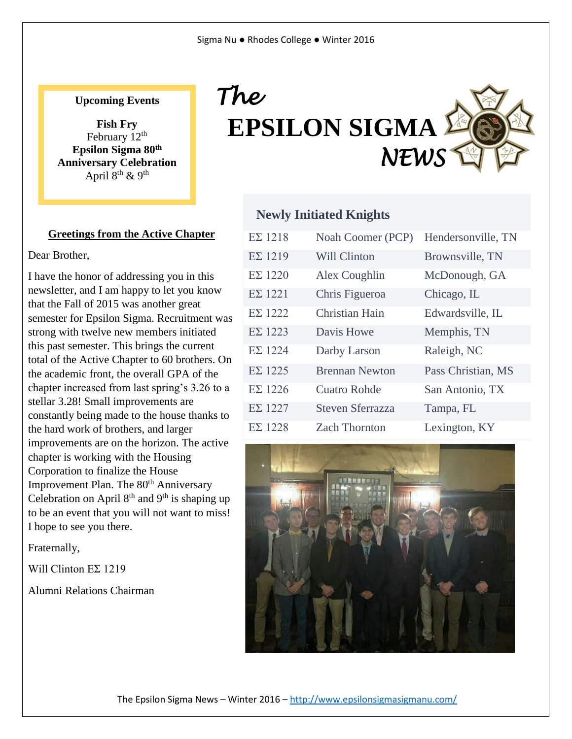# **Upcoming Events**

**Fish Fry** February  $12<sup>th</sup>$ **Epsilon Sigma 80th Anniversary Celebration**  April  $8<sup>th</sup>$  & 9<sup>th</sup>

### **Greetings from the Active Chapter**

Dear Brother,

I have the honor of addressing you in this newsletter, and I am happy to let you know that the Fall of 2015 was another great semester for Epsilon Sigma. Recruitment was strong with twelve new members initiated this past semester. This brings the current total of the Active Chapter to 60 brothers. On the academic front, the overall GPA of the chapter increased from last spring's 3.26 to a stellar 3.28! Small improvements are constantly being made to the house thanks to the hard work of brothers, and larger improvements are on the horizon. The active chapter is working with the Housing Corporation to finalize the House Improvement Plan. The 80<sup>th</sup> Anniversary Celebration on April  $8<sup>th</sup>$  and  $9<sup>th</sup>$  is shaping up to be an event that you will not want to miss! I hope to see you there.

Fraternally,

Will Clinton EΣ 1219

Alumni Relations Chairman



### **Newly Initiated Knights**

| $E\Sigma$ 1218 | Noah Coomer (PCP)       | Hendersonville, TN |
|----------------|-------------------------|--------------------|
| $E\Sigma$ 1219 | <b>Will Clinton</b>     | Brownsville, TN    |
| $E\Sigma$ 1220 | Alex Coughlin           | McDonough, GA      |
| $E\Sigma$ 1221 | Chris Figueroa          | Chicago, IL        |
| $E\Sigma$ 1222 | Christian Hain          | Edwardsville, IL   |
| $E\Sigma$ 1223 | Davis Howe              | Memphis, TN        |
| $E\Sigma$ 1224 | Darby Larson            | Raleigh, NC        |
| $E\Sigma$ 1225 | <b>Brennan Newton</b>   | Pass Christian, MS |
| $E\Sigma$ 1226 | <b>Cuatro Rohde</b>     | San Antonio, TX    |
| $E\Sigma$ 1227 | <b>Steven Sferrazza</b> | Tampa, FL          |
| $E\Sigma$ 1228 | <b>Zach Thornton</b>    | Lexington, KY      |



The Epsilon Sigma News – Winter 2016 – <http://www.epsilonsigmasigmanu.com/>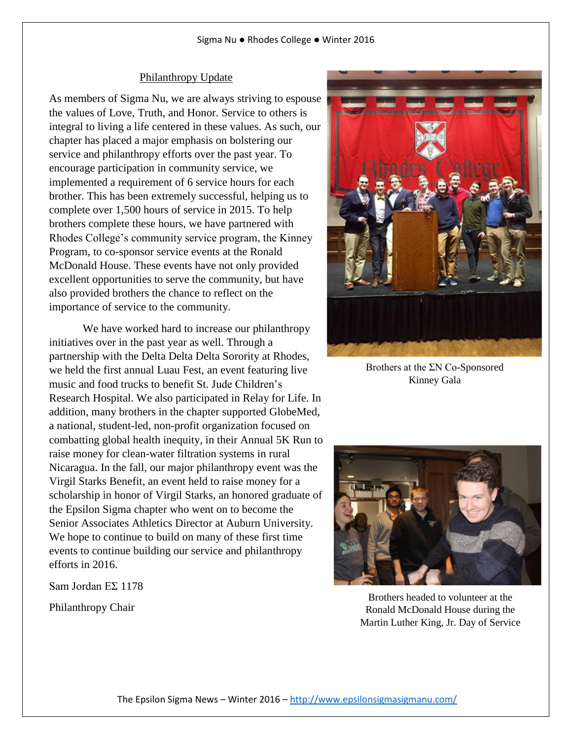#### Philanthropy Update

As members of Sigma Nu, we are always striving to espouse the values of Love, Truth, and Honor. Service to others is integral to living a life centered in these values. As such, our chapter has placed a major emphasis on bolstering our service and philanthropy efforts over the past year. To encourage participation in community service, we implemented a requirement of 6 service hours for each brother. This has been extremely successful, helping us to complete over 1,500 hours of service in 2015. To help brothers complete these hours, we have partnered with Rhodes College's community service program, the Kinney Program, to co-sponsor service events at the Ronald McDonald House. These events have not only provided excellent opportunities to serve the community, but have also provided brothers the chance to reflect on the importance of service to the community.

We have worked hard to increase our philanthropy initiatives over in the past year as well. Through a partnership with the Delta Delta Delta Sorority at Rhodes, we held the first annual Luau Fest, an event featuring live music and food trucks to benefit St. Jude Children's Research Hospital. We also participated in Relay for Life. In addition, many brothers in the chapter supported GlobeMed, a national, student-led, non-profit organization focused on combatting global health inequity, in their Annual 5K Run to raise money for clean-water filtration systems in rural Nicaragua. In the fall, our major philanthropy event was the Virgil Starks Benefit, an event held to raise money for a scholarship in honor of Virgil Starks, an honored graduate of the Epsilon Sigma chapter who went on to become the Senior Associates Athletics Director at Auburn University. We hope to continue to build on many of these first time events to continue building our service and philanthropy efforts in 2016.

Sam Jordan EΣ 1178

Philanthropy Chair



Brothers at the ΣN Co-Sponsored Kinney Gala



Brothers headed to volunteer at the Ronald McDonald House during the Martin Luther King, Jr. Day of Service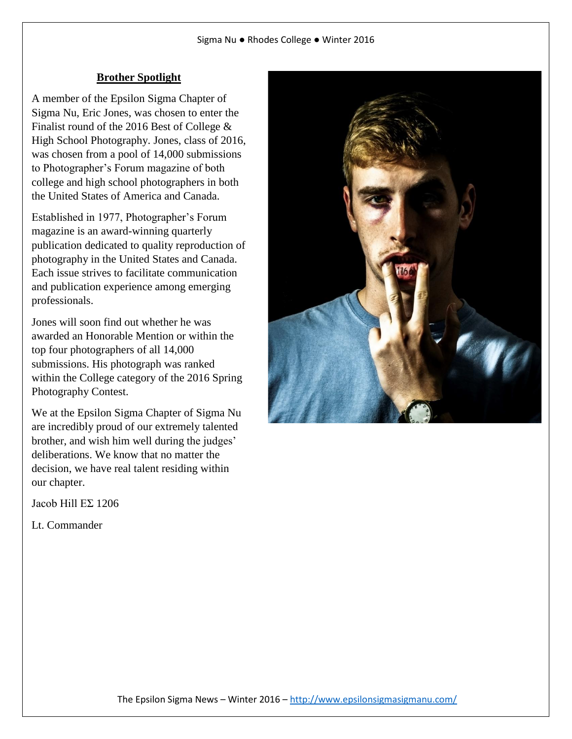# **Brother Spotlight**

A member of the Epsilon Sigma Chapter of Sigma Nu, Eric Jones, was chosen to enter the Finalist round of the 2016 Best of College & High School Photography. Jones, class of 2016, was chosen from a pool of 14,000 submissions to Photographer's Forum magazine of both college and high school photographers in both the United States of America and Canada.

Established in 1977, Photographer's Forum magazine is an award-winning quarterly publication dedicated to quality reproduction of photography in the United States and Canada. Each issue strives to facilitate communication and publication experience among emerging professionals.

Jones will soon find out whether he was awarded an Honorable Mention or within the top four photographers of all 14,000 submissions. His photograph was ranked within the College category of the 2016 Spring Photography Contest.

We at the Epsilon Sigma Chapter of Sigma Nu are incredibly proud of our extremely talented brother, and wish him well during the judges' deliberations. We know that no matter the decision, we have real talent residing within our chapter.

Jacob Hill EΣ 1206

Lt. Commander